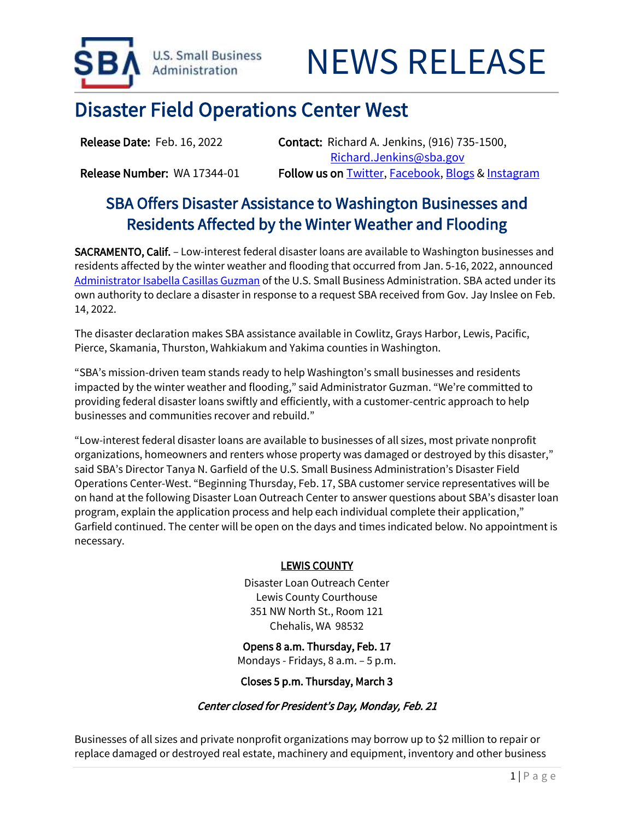

# Disaster Field Operations Center West

Release Date: Feb. 16, 2022 Contact: Richard A. Jenkins, (916) 735-1500, [Richard.Jenkins@sba.gov](mailto:Richard.Jenkins@sba.gov)  Release Number: WA 17344-01 Follow us o[n Twitter,](http://www.twitter.com/SBAgov) [Facebook,](http://www.facebook.com/sbagov) [Blogs](http://www.sba.gov/blogs) & Instagram

## SBA Offers Disaster Assistance to Washington Businesses and Residents Affected by the Winter Weather and Flooding

SACRAMENTO, Calif. – Low-interest federal disaster loans are available to Washington businesses and residents affected by the winter weather and flooding that occurred from Jan. 5-16, 2022, announced [Administrator Isabella Casillas Guzman](https://www.sba.gov/person/isabella-casillas-guzman) of the U.S. Small Business Administration. SBA acted under its own authority to declare a disaster in response to a request SBA received from Gov. Jay Inslee on Feb. 14, 2022.

The disaster declaration makes SBA assistance available in Cowlitz, Grays Harbor, Lewis, Pacific, Pierce, Skamania, Thurston, Wahkiakum and Yakima counties in Washington.

"SBA's mission-driven team stands ready to help Washington's small businesses and residents impacted by the winter weather and flooding," said Administrator Guzman. "We're committed to providing federal disaster loans swiftly and efficiently, with a customer-centric approach to help businesses and communities recover and rebuild."

"Low-interest federal disaster loans are available to businesses of all sizes, most private nonprofit organizations, homeowners and renters whose property was damaged or destroyed by this disaster," said SBA's Director Tanya N. Garfield of the U.S. Small Business Administration's Disaster Field Operations Center-West. "Beginning Thursday, Feb. 17, SBA customer service representatives will be on hand at the following Disaster Loan Outreach Center to answer questions about SBA's disaster loan program, explain the application process and help each individual complete their application," Garfield continued. The center will be open on the days and times indicated below. No appointment is necessary.

### LEWIS COUNTY

Disaster Loan Outreach Center Lewis County Courthouse 351 NW North St., Room 121 Chehalis, WA 98532

Opens 8 a.m. Thursday, Feb. 17 Mondays - Fridays, 8 a.m. – 5 p.m.

Closes 5 p.m. Thursday, March 3

### Center closed for President's Day, Monday, Feb. 21

Businesses of all sizes and private nonprofit organizations may borrow up to \$2 million to repair or replace damaged or destroyed real estate, machinery and equipment, inventory and other business